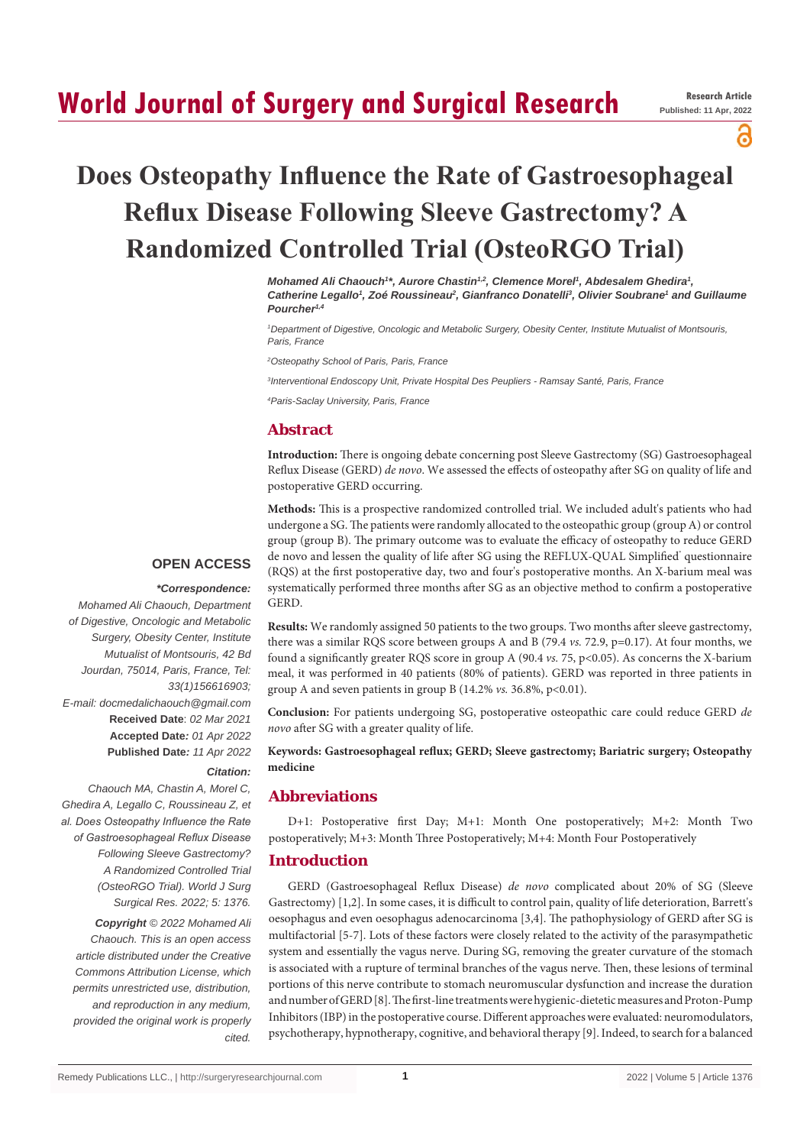## **World Journal of Surgery and Surgical Research**

പ്പ

# **Does Osteopathy Influence the Rate of Gastroesophageal Reflux Disease Following Sleeve Gastrectomy? A Randomized Controlled Trial (OsteoRGO Trial)**

*Mohamed Ali Chaouch<sup>1\*</sup>, Aurore Chastin<sup>1,2</sup>, Clemence Morel<sup>1</sup>, Abdesalem Ghedira<sup>1</sup>,* Catherine Legallo<sup>1</sup>, Zoé Roussineau<sup>2</sup>, Gianfranco Donatelli<sup>3</sup>, Olivier Soubrane<sup>1</sup> and Guillaume *Pourcher1,4*

*1 Department of Digestive, Oncologic and Metabolic Surgery, Obesity Center, Institute Mutualist of Montsouris, Paris, France*

*2 Osteopathy School of Paris, Paris, France*

*3 Interventional Endoscopy Unit, Private Hospital Des Peupliers - Ramsay Santé, Paris, France*

*4 Paris-Saclay University, Paris, France*

## **Abstract**

**Introduction:** There is ongoing debate concerning post Sleeve Gastrectomy (SG) Gastroesophageal Reflux Disease (GERD) *de novo*. We assessed the effects of osteopathy after SG on quality of life and postoperative GERD occurring.

**Methods:** This is a prospective randomized controlled trial. We included adult's patients who had undergone a SG. The patients were randomly allocated to the osteopathic group (group A) or control group (group B). The primary outcome was to evaluate the efficacy of osteopathy to reduce GERD de novo and lessen the quality of life after SG using the REFLUX-QUAL Simplified' questionnaire (RQS) at the first postoperative day, two and four's postoperative months. An X-barium meal was systematically performed three months after SG as an objective method to confirm a postoperative GERD.

#### **OPEN ACCESS**

#### *\*Correspondence:*

*Mohamed Ali Chaouch, Department of Digestive, Oncologic and Metabolic Surgery, Obesity Center, Institute Mutualist of Montsouris, 42 Bd Jourdan, 75014, Paris, France, Tel: 33(1)156616903; E-mail: docmedalichaouch@gmail.com* **Received Date**: *02 Mar 2021* **Accepted Date***: 01 Apr 2022* **Published Date***: 11 Apr 2022*

*Citation:* 

*Chaouch MA, Chastin A, Morel C, Ghedira A, Legallo C, Roussineau Z, et al. Does Osteopathy Influence the Rate of Gastroesophageal Reflux Disease Following Sleeve Gastrectomy? A Randomized Controlled Trial (OsteoRGO Trial). World J Surg Surgical Res. 2022; 5: 1376. Copyright © 2022 Mohamed Ali Chaouch. This is an open access article distributed under the Creative Commons Attribution License, which permits unrestricted use, distribution, and reproduction in any medium, provided the original work is properly cited.*

**Results:** We randomly assigned 50 patients to the two groups. Two months after sleeve gastrectomy, there was a similar RQS score between groups A and B (79.4 *vs.* 72.9, p=0.17). At four months, we found a significantly greater RQS score in group A (90.4 *vs.* 75, p<0.05). As concerns the X-barium meal, it was performed in 40 patients (80% of patients). GERD was reported in three patients in group A and seven patients in group B  $(14.2\% \text{ vs. } 36.8\%, \text{ p} < 0.01)$ .

**Conclusion:** For patients undergoing SG, postoperative osteopathic care could reduce GERD *de novo* after SG with a greater quality of life.

## **Keywords: Gastroesophageal reflux; GERD; Sleeve gastrectomy; Bariatric surgery; Osteopathy medicine**

## **Abbreviations**

D+1: Postoperative first Day; M+1: Month One postoperatively; M+2: Month Two postoperatively; M+3: Month Three Postoperatively; M+4: Month Four Postoperatively

## **Introduction**

GERD (Gastroesophageal Reflux Disease) *de novo* complicated about 20% of SG (Sleeve Gastrectomy) [1,2]. In some cases, it is difficult to control pain, quality of life deterioration, Barrett's oesophagus and even oesophagus adenocarcinoma [3,4]. The pathophysiology of GERD after SG is multifactorial [5-7]. Lots of these factors were closely related to the activity of the parasympathetic system and essentially the vagus nerve. During SG, removing the greater curvature of the stomach is associated with a rupture of terminal branches of the vagus nerve. Then, these lesions of terminal portions of this nerve contribute to stomach neuromuscular dysfunction and increase the duration and number of GERD [8]. The first-line treatments were hygienic-dietetic measures and Proton-Pump Inhibitors (IBP) in the postoperative course. Different approaches were evaluated: neuromodulators, psychotherapy, hypnotherapy, cognitive, and behavioral therapy [9]. Indeed, to search for a balanced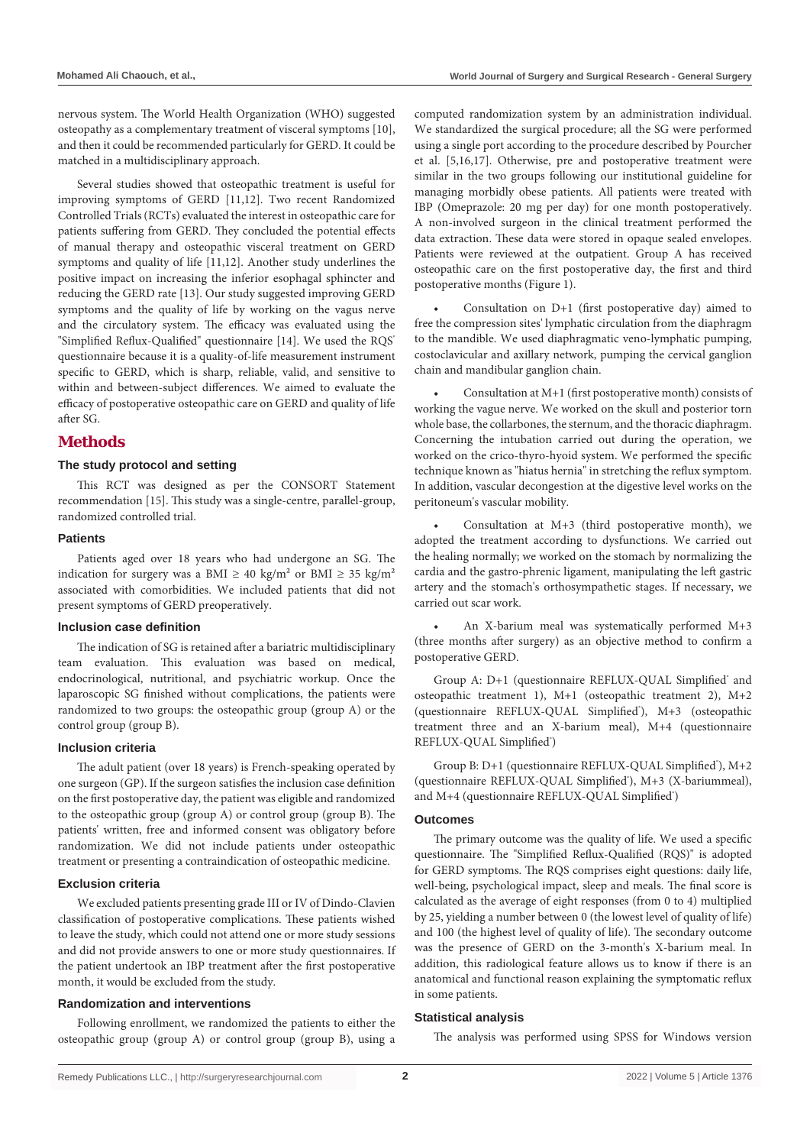nervous system. The World Health Organization (WHO) suggested osteopathy as a complementary treatment of visceral symptoms [10], and then it could be recommended particularly for GERD. It could be matched in a multidisciplinary approach.

Several studies showed that osteopathic treatment is useful for improving symptoms of GERD [11,12]. Two recent Randomized Controlled Trials (RCTs) evaluated the interest in osteopathic care for patients suffering from GERD. They concluded the potential effects of manual therapy and osteopathic visceral treatment on GERD symptoms and quality of life [11,12]. Another study underlines the positive impact on increasing the inferior esophagal sphincter and reducing the GERD rate [13]. Our study suggested improving GERD symptoms and the quality of life by working on the vagus nerve and the circulatory system. The efficacy was evaluated using the "Simplified Reflux-Qualified" questionnaire [14]. We used the RQS<sup>®</sup> questionnaire because it is a quality-of-life measurement instrument specific to GERD, which is sharp, reliable, valid, and sensitive to within and between-subject differences. We aimed to evaluate the efficacy of postoperative osteopathic care on GERD and quality of life after SG.

## **Methods**

#### **The study protocol and setting**

This RCT was designed as per the CONSORT Statement recommendation [15]. This study was a single-centre, parallel-group, randomized controlled trial.

#### **Patients**

Patients aged over 18 years who had undergone an SG. The indication for surgery was a BMI  $\geq 40$  kg/m<sup>2</sup> or BMI  $\geq 35$  kg/m<sup>2</sup> associated with comorbidities. We included patients that did not present symptoms of GERD preoperatively.

#### **Inclusion case definition**

The indication of SG is retained after a bariatric multidisciplinary team evaluation. This evaluation was based on medical, endocrinological, nutritional, and psychiatric workup. Once the laparoscopic SG finished without complications, the patients were randomized to two groups: the osteopathic group (group A) or the control group (group B).

#### **Inclusion criteria**

The adult patient (over 18 years) is French-speaking operated by one surgeon (GP). If the surgeon satisfies the inclusion case definition on the first postoperative day, the patient was eligible and randomized to the osteopathic group (group A) or control group (group B). The patients' written, free and informed consent was obligatory before randomization. We did not include patients under osteopathic treatment or presenting a contraindication of osteopathic medicine.

## **Exclusion criteria**

We excluded patients presenting grade III or IV of Dindo-Clavien classification of postoperative complications. These patients wished to leave the study, which could not attend one or more study sessions and did not provide answers to one or more study questionnaires. If the patient undertook an IBP treatment after the first postoperative month, it would be excluded from the study.

#### **Randomization and interventions**

Following enrollment, we randomized the patients to either the osteopathic group (group A) or control group (group B), using a computed randomization system by an administration individual. We standardized the surgical procedure; all the SG were performed using a single port according to the procedure described by Pourcher et al. [5,16,17]. Otherwise, pre and postoperative treatment were similar in the two groups following our institutional guideline for managing morbidly obese patients. All patients were treated with IBP (Omeprazole: 20 mg per day) for one month postoperatively. A non-involved surgeon in the clinical treatment performed the data extraction. These data were stored in opaque sealed envelopes. Patients were reviewed at the outpatient. Group A has received osteopathic care on the first postoperative day, the first and third postoperative months (Figure 1).

Consultation on  $D+1$  (first postoperative day) aimed to free the compression sites' lymphatic circulation from the diaphragm to the mandible. We used diaphragmatic veno-lymphatic pumping, costoclavicular and axillary network, pumping the cervical ganglion chain and mandibular ganglion chain.

Consultation at  $M+1$  (first postoperative month) consists of working the vague nerve. We worked on the skull and posterior torn whole base, the collarbones, the sternum, and the thoracic diaphragm. Concerning the intubation carried out during the operation, we worked on the crico-thyro-hyoid system. We performed the specific technique known as "hiatus hernia" in stretching the reflux symptom. In addition, vascular decongestion at the digestive level works on the peritoneum's vascular mobility.

Consultation at  $M+3$  (third postoperative month), we adopted the treatment according to dysfunctions. We carried out the healing normally; we worked on the stomach by normalizing the cardia and the gastro-phrenic ligament, manipulating the left gastric artery and the stomach's orthosympathetic stages. If necessary, we carried out scar work.

An X-barium meal was systematically performed  $M+3$ (three months after surgery) as an objective method to confirm a postoperative GERD.

Group A: D+1 (questionnaire REFLUX-QUAL Simplified' and osteopathic treatment 1), M+1 (osteopathic treatment 2), M+2 (questionnaire REFLUX-QUAL Simplified'), M+3 (osteopathic treatment three and an X-barium meal), M+4 (questionnaire REFLUX-QUAL Simplified®)

Group B: D+1 (questionnaire REFLUX-QUAL Simplified'), M+2 (questionnaire REFLUX-QUAL Simplified<sup>\*</sup>), M+3 (X-bariummeal), and M+4 (questionnaire REFLUX-QUAL Simplified')

#### **Outcomes**

The primary outcome was the quality of life. We used a specific questionnaire. The "Simplified Reflux-Qualified (RQS)" is adopted for GERD symptoms. The RQS comprises eight questions: daily life, well-being, psychological impact, sleep and meals. The final score is calculated as the average of eight responses (from 0 to 4) multiplied by 25, yielding a number between 0 (the lowest level of quality of life) and 100 (the highest level of quality of life). The secondary outcome was the presence of GERD on the 3-month's X-barium meal. In addition, this radiological feature allows us to know if there is an anatomical and functional reason explaining the symptomatic reflux in some patients.

#### **Statistical analysis**

The analysis was performed using SPSS for Windows version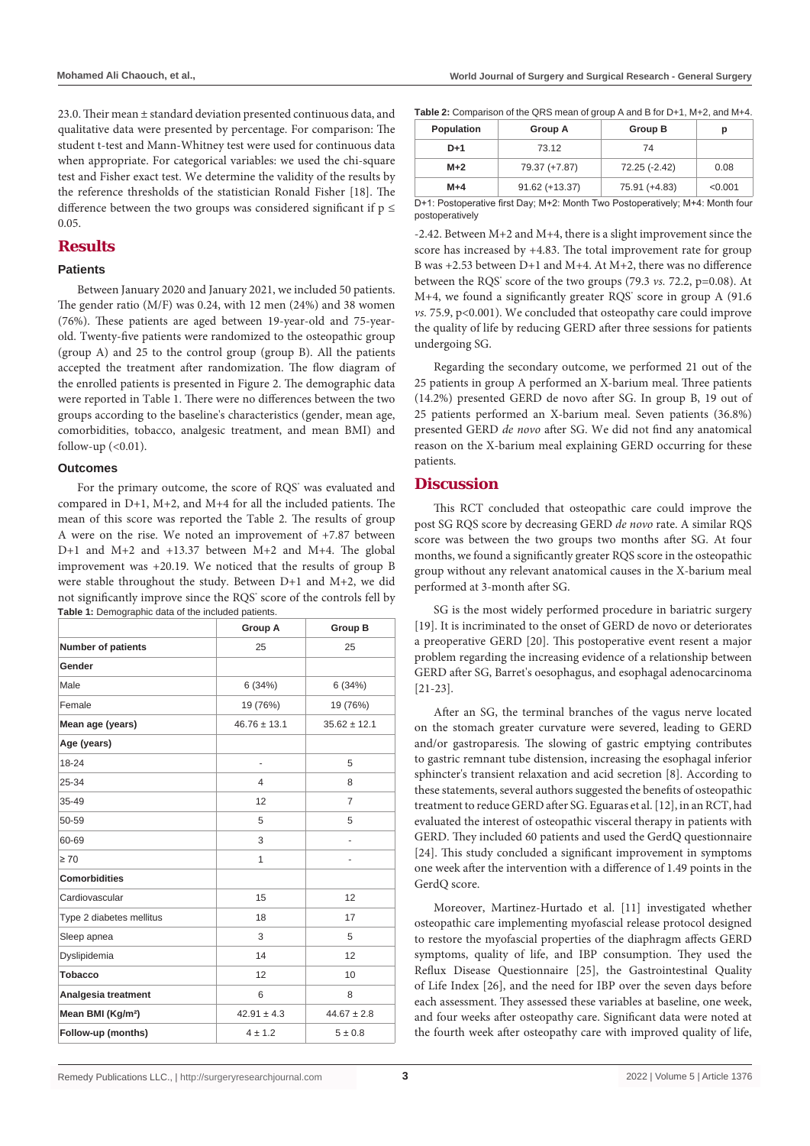23.0. Their mean ± standard deviation presented continuous data, and qualitative data were presented by percentage. For comparison: The student t-test and Mann-Whitney test were used for continuous data when appropriate. For categorical variables: we used the chi-square test and Fisher exact test. We determine the validity of the results by the reference thresholds of the statistician Ronald Fisher [18]. The difference between the two groups was considered significant if  $p \leq$ 0.05.

## **Results**

#### **Patients**

Between January 2020 and January 2021, we included 50 patients. The gender ratio (M/F) was 0.24, with 12 men (24%) and 38 women (76%). These patients are aged between 19-year-old and 75-yearold. Twenty-five patients were randomized to the osteopathic group (group A) and 25 to the control group (group B). All the patients accepted the treatment after randomization. The flow diagram of the enrolled patients is presented in Figure 2. The demographic data were reported in Table 1. There were no differences between the two groups according to the baseline's characteristics (gender, mean age, comorbidities, tobacco, analgesic treatment, and mean BMI) and follow-up  $( $0.01$ ).$ 

#### **Outcomes**

For the primary outcome, the score of RQS° was evaluated and compared in D+1, M+2, and M+4 for all the included patients. The mean of this score was reported the Table 2. The results of group A were on the rise. We noted an improvement of +7.87 between D+1 and M+2 and +13.37 between M+2 and M+4. The global improvement was +20.19. We noticed that the results of group B were stable throughout the study. Between D+1 and M+2, we did not significantly improve since the RQS<sup>®</sup> score of the controls fell by **Table 1:** Demographic data of the included patients.

|                               | <b>Group A</b>   | <b>Group B</b>   |
|-------------------------------|------------------|------------------|
| <b>Number of patients</b>     | 25               | 25               |
| Gender                        |                  |                  |
| Male                          | 6(34%)           | 6(34%)           |
| Female                        | 19 (76%)         | 19 (76%)         |
| Mean age (years)              | $46.76 \pm 13.1$ | $35.62 \pm 12.1$ |
| Age (years)                   |                  |                  |
| 18-24                         | ٠                | 5                |
| 25-34                         | 4                | 8                |
| 35-49                         | 12               | $\overline{7}$   |
| 50-59                         | 5                | 5                |
| 60-69                         | 3                |                  |
| $\geq 70$                     | 1                | ٠                |
| <b>Comorbidities</b>          |                  |                  |
| Cardiovascular                | 15               | 12               |
| Type 2 diabetes mellitus      | 18               | 17               |
| Sleep apnea                   | 3                | 5                |
| Dyslipidemia                  | 14               | 12               |
| <b>Tobacco</b>                | 12               | 10               |
| Analgesia treatment           | 6                | 8                |
| Mean BMI (Kg/m <sup>2</sup> ) | $42.91 \pm 4.3$  | $44.67 \pm 2.8$  |
| Follow-up (months)            | $4 \pm 1.2$      | 5 ± 0.8          |

| <b>Population</b> | Group A                                                                             | Group B       | р       |
|-------------------|-------------------------------------------------------------------------------------|---------------|---------|
| D+1               | 73.12                                                                               | 74            |         |
| $M+2$             | 79.37 (+7.87)                                                                       | 72.25 (-2.42) | 0.08    |
| $M+4$             | $91.62 (+13.37)$                                                                    | 75.91 (+4.83) | < 0.001 |
|                   | Did. Dealers colling Coal Davis M10. Menth Time Dealers coathiolic M114: Menth form |               |         |

D+1: Postoperative first Day; M+2: Month Two Postoperatively; M+4: Month four postoperatively

-2.42. Between M+2 and M+4, there is a slight improvement since the score has increased by +4.83. The total improvement rate for group B was +2.53 between D+1 and M+4. At M+2, there was no difference between the RQS<sup>®</sup> score of the two groups (79.3 *vs.* 72.2, p=0.08). At M+4, we found a significantly greater RQS<sup>®</sup> score in group A (91.6 vs. 75.9, p<0.001). We concluded that osteopathy care could improve the quality of life by reducing GERD after three sessions for patients undergoing SG.

Regarding the secondary outcome, we performed 21 out of the 25 patients in group A performed an X-barium meal. Three patients (14.2%) presented GERD de novo after SG. In group B, 19 out of 25 patients performed an X-barium meal. Seven patients (36.8%) presented GERD *de novo* after SG. We did not find any anatomical reason on the X-barium meal explaining GERD occurring for these patients.

## **Discussion**

This RCT concluded that osteopathic care could improve the post SG RQS score by decreasing GERD *de novo* rate. A similar RQS score was between the two groups two months after SG. At four months, we found a significantly greater RQS score in the osteopathic group without any relevant anatomical causes in the X-barium meal performed at 3-month after SG.

SG is the most widely performed procedure in bariatric surgery [19]. It is incriminated to the onset of GERD de novo or deteriorates a preoperative GERD [20]. This postoperative event resent a major problem regarding the increasing evidence of a relationship between GERD after SG, Barret's oesophagus, and esophagal adenocarcinoma [21-23].

After an SG, the terminal branches of the vagus nerve located on the stomach greater curvature were severed, leading to GERD and/or gastroparesis. The slowing of gastric emptying contributes to gastric remnant tube distension, increasing the esophagal inferior sphincter's transient relaxation and acid secretion [8]. According to these statements, several authors suggested the benefits of osteopathic treatment to reduce GERD after SG. Eguaras et al. [12], in an RCT, had evaluated the interest of osteopathic visceral therapy in patients with GERD. They included 60 patients and used the GerdQ questionnaire [24]. This study concluded a significant improvement in symptoms one week after the intervention with a difference of 1.49 points in the GerdQ score.

Moreover, Martinez-Hurtado et al. [11] investigated whether osteopathic care implementing myofascial release protocol designed to restore the myofascial properties of the diaphragm affects GERD symptoms, quality of life, and IBP consumption. They used the Reflux Disease Questionnaire [25], the Gastrointestinal Quality of Life Index [26], and the need for IBP over the seven days before each assessment. They assessed these variables at baseline, one week, and four weeks after osteopathy care. Significant data were noted at the fourth week after osteopathy care with improved quality of life,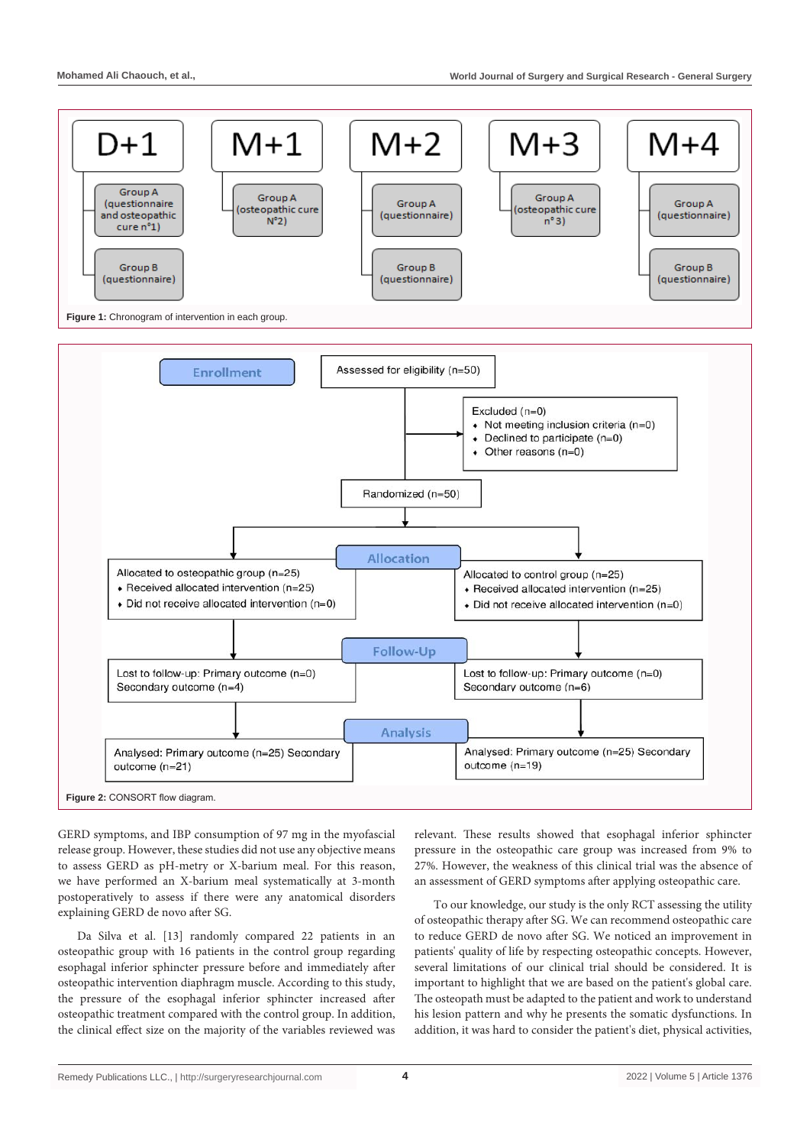

GERD symptoms, and IBP consumption of 97 mg in the myofascial release group. However, these studies did not use any objective means to assess GERD as pH-metry or X-barium meal. For this reason, we have performed an X-barium meal systematically at 3-month postoperatively to assess if there were any anatomical disorders explaining GERD de novo after SG.

Da Silva et al. [13] randomly compared 22 patients in an osteopathic group with 16 patients in the control group regarding esophagal inferior sphincter pressure before and immediately after osteopathic intervention diaphragm muscle. According to this study, the pressure of the esophagal inferior sphincter increased after osteopathic treatment compared with the control group. In addition, the clinical effect size on the majority of the variables reviewed was relevant. These results showed that esophagal inferior sphincter pressure in the osteopathic care group was increased from 9% to 27%. However, the weakness of this clinical trial was the absence of an assessment of GERD symptoms after applying osteopathic care.

To our knowledge, our study is the only RCT assessing the utility of osteopathic therapy after SG. We can recommend osteopathic care to reduce GERD de novo after SG. We noticed an improvement in patients' quality of life by respecting osteopathic concepts. However, several limitations of our clinical trial should be considered. It is important to highlight that we are based on the patient's global care. The osteopath must be adapted to the patient and work to understand his lesion pattern and why he presents the somatic dysfunctions. In addition, it was hard to consider the patient's diet, physical activities,